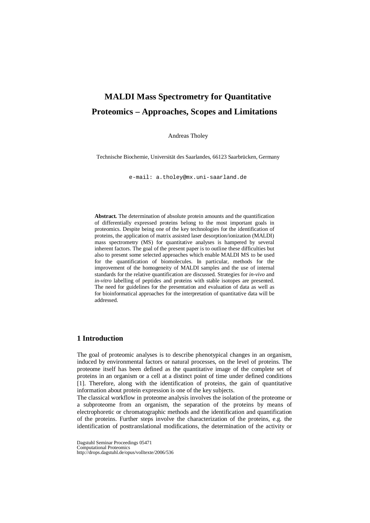# **MALDI Mass Spectrometry for Quantitative Proteomics – Approaches, Scopes and Limitations**

Andreas Tholey

Technische Biochemie, Universität des Saarlandes, 66123 Saarbrücken, Germany

e-mail: a.tholey@mx.uni-saarland.de

**Abstract.** The determination of absolute protein amounts and the quantification of differentially expressed proteins belong to the most important goals in proteomics. Despite being one of the key technologies for the identification of proteins, the application of matrix assisted laser desorption/ionization (MALDI) mass spectrometry (MS) for quantitative analyses is hampered by several inherent factors. The goal of the present paper is to outline these difficulties but also to present some selected approaches which enable MALDI MS to be used for the quantification of biomolecules. In particular, methods for the improvement of the homogeneity of MALDI samples and the use of internal standards for the relative quantification are discussed. Strategies for *in-vivo* and *in-vitro* labelling of peptides and proteins with stable isotopes are presented. The need for guidelines for the presentation and evaluation of data as well as for bioinformatical approaches for the interpretation of quantitative data will be addressed.

# **1 Introduction**

The goal of proteomic analyses is to describe phenotypical changes in an organism, induced by environmental factors or natural processes, on the level of proteins. The proteome itself has been defined as the quantitative image of the complete set of proteins in an organism or a cell at a distinct point of time under defined conditions [1]. Therefore, along with the identification of proteins, the gain of quantitative information about protein expression is one of the key subjects.

The classical workflow in proteome analysis involves the isolation of the proteome or a subproteome from an organism, the separation of the proteins by means of electrophoretic or chromatographic methods and the identification and quantification of the proteins. Further steps involve the characterization of the proteins, e.g. the identification of posttranslational modifications, the determination of the activity or

Dagstuhl Seminar Proceedings 05471 Computational Proteomics http://drops.dagstuhl.de/opus/volltexte/2006/536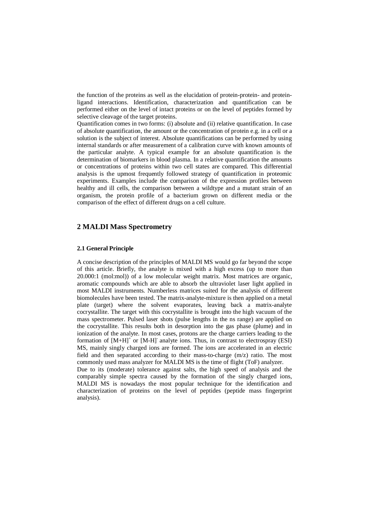the function of the proteins as well as the elucidation of protein-protein- and proteinligand interactions. Identification, characterization and quantification can be performed either on the level of intact proteins or on the level of peptides formed by selective cleavage of the target proteins.

Quantification comes in two forms: (i) absolute and (ii) relative quantification. In case of absolute quantification, the amount or the concentration of protein e.g. in a cell or a solution is the subject of interest. Absolute quantifications can be performed by using internal standards or after measurement of a calibration curve with known amounts of the particular analyte. A typical example for an absolute quantification is the determination of biomarkers in blood plasma. In a relative quantification the amounts or concentrations of proteins within two cell states are compared. This differential analysis is the upmost frequently followed strategy of quantification in proteomic experiments. Examples include the comparison of the expression profiles between healthy and ill cells, the comparison between a wildtype and a mutant strain of an organism, the protein profile of a bacterium grown on different media or the comparison of the effect of different drugs on a cell culture.

# **2 MALDI Mass Spectrometry**

### **2.1 General Principle**

A concise description of the principles of MALDI MS would go far beyond the scope of this article. Briefly, the analyte is mixed with a high excess (up to more than 20.000:1 (mol:mol)) of a low molecular weight matrix. Most matrices are organic, aromatic compounds which are able to absorb the ultraviolet laser light applied in most MALDI instruments. Numberless matrices suited for the analysis of different biomolecules have been tested. The matrix-analyte-mixture is then applied on a metal plate (target) where the solvent evaporates, leaving back a matrix-analyte cocrystallite. The target with this cocrystallite is brought into the high vacuum of the mass spectrometer. Pulsed laser shots (pulse lengths in the ns range) are applied on the cocrystallite. This results both in desorption into the gas phase (plume) and in ionization of the analyte. In most cases, protons are the charge carriers leading to the formation of  $[M+H]$ <sup>+</sup> or  $[M-H]$ <sup>-</sup> analyte ions. Thus, in contrast to electrospray (ESI) MS, mainly singly charged ions are formed. The ions are accelerated in an electric field and then separated according to their mass-to-charge (m/z) ratio. The most commonly used mass analyzer for MALDI MS is the time of flight (ToF) analyzer. Due to its (moderate) tolerance against salts, the high speed of analysis and the comparably simple spectra caused by the formation of the singly charged ions, MALDI MS is nowadays the most popular technique for the identification and characterization of proteins on the level of peptides (peptide mass fingerprint analysis).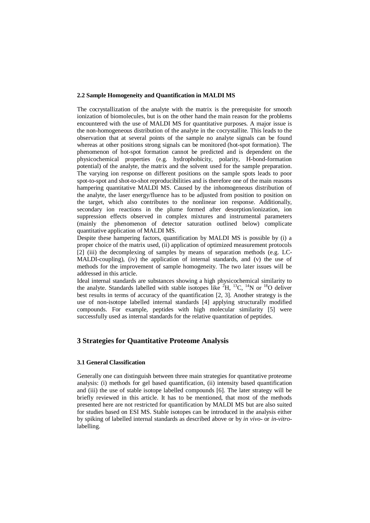#### **2.2 Sample Homogeneity and Quantification in MALDI MS**

The cocrystallization of the analyte with the matrix is the prerequisite for smooth ionization of biomolecules, but is on the other hand the main reason for the problems encountered with the use of MALDI MS for quantitative purposes. A major issue is the non-homogeneous distribution of the analyte in the cocrystallite. This leads to the observation that at several points of the sample no analyte signals can be found whereas at other positions strong signals can be monitored (hot-spot formation). The phenomenon of hot-spot formation cannot be predicted and is dependent on the physicochemical properties (e.g. hydrophobicity, polarity, H-bond-formation potential) of the analyte, the matrix and the solvent used for the sample preparation. The varying ion response on different positions on the sample spots leads to poor spot-to-spot and shot-to-shot reproducibilities and is therefore one of the main reasons hampering quantitative MALDI MS. Caused by the inhomogeneous distribution of the analyte, the laser energy/fluence has to be adjusted from position to position on the target, which also contributes to the nonlinear ion response. Additionally, secondary ion reactions in the plume formed after desorption/ionization, ion suppression effects observed in complex mixtures and instrumental parameters (mainly the phenomenon of detector saturation outlined below) complicate quantitative application of MALDI MS.

Despite these hampering factors, quantification by MALDI MS is possible by (i) a proper choice of the matrix used, (ii) application of optimized measurement protocols [2] (iii) the decomplexing of samples by means of separation methods (e.g. LC-MALDI-coupling), (iv) the application of internal standards, and (v) the use of methods for the improvement of sample homogeneity. The two later issues will be addressed in this article.

Ideal internal standards are substances showing a high physicochemical similarity to the analyte. Standards labelled with stable isotopes like  ${}^{2}H$ ,  ${}^{13}C$ ,  ${}^{14}N$  or  ${}^{18}O$  deliver best results in terms of accuracy of the quantification [2, 3]. Another strategy is the use of non-isotope labelled internal standards [4] applying structurally modified compounds. For example, peptides with high molecular similarity [5] were successfully used as internal standards for the relative quantitation of peptides.

### **3 Strategies for Quantitative Proteome Analysis**

#### **3.1 General Classification**

Generally one can distinguish between three main strategies for quantitative proteome analysis: (i) methods for gel based quantification, (ii) intensity based quantification and (iii) the use of stable isotope labelled compounds [6]. The later strategy will be briefly reviewed in this article. It has to be mentioned, that most of the methods presented here are not restricted for quantification by MALDI MS but are also suited for studies based on ESI MS. Stable isotopes can be introduced in the analysis either by spiking of labelled internal standards as described above or by *in vivo*- or *in-vitro*labelling.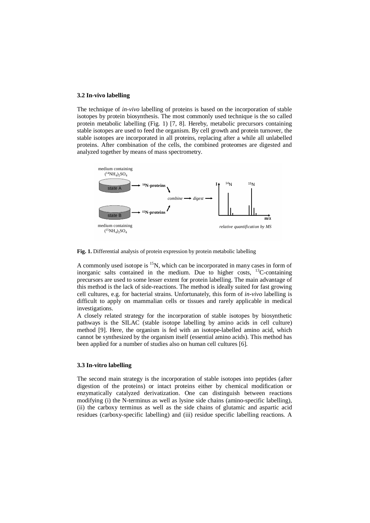#### **3.2 In-vivo labelling**

The technique of *in-vivo* labelling of proteins is based on the incorporation of stable isotopes by protein biosynthesis. The most commonly used technique is the so called protein metabolic labelling (Fig. 1) [7, 8]. Hereby, metabolic precursors containing stable isotopes are used to feed the organism. By cell growth and protein turnover, the stable isotopes are incorporated in all proteins, replacing after a while all unlabelled proteins. After combination of the cells, the combined proteomes are digested and analyzed together by means of mass spectrometry.



**Fig. 1.** Differential analysis of protein expression by protein metabolic labelling

A commonly used isotope is  ${}^{15}N$ , which can be incorporated in many cases in form of inorganic salts contained in the medium. Due to higher costs, 13C-containing precursors are used to some lesser extent for protein labelling. The main advantage of this method is the lack of side-reactions. The method is ideally suited for fast growing cell cultures, e.g. for bacterial strains. Unfortunately, this form of *in-vivo* labelling is difficult to apply on mammalian cells or tissues and rarely applicable in medical investigations.

A closely related strategy for the incorporation of stable isotopes by biosynthetic pathways is the SILAC (stable isotope labelling by amino acids in cell culture) method [9]. Here, the organism is fed with an isotope-labelled amino acid, which cannot be synthesized by the organism itself (essential amino acids). This method has been applied for a number of studies also on human cell cultures [6].

#### **3.3 In-vitro labelling**

The second main strategy is the incorporation of stable isotopes into peptides (after digestion of the proteins) or intact proteins either by chemical modification or enzymatically catalyzed derivatization. One can distinguish between reactions modifying (i) the N-terminus as well as lysine side chains (amino-specific labelling), (ii) the carboxy terminus as well as the side chains of glutamic and aspartic acid residues (carboxy-specific labelling) and (iii) residue specific labelling reactions. A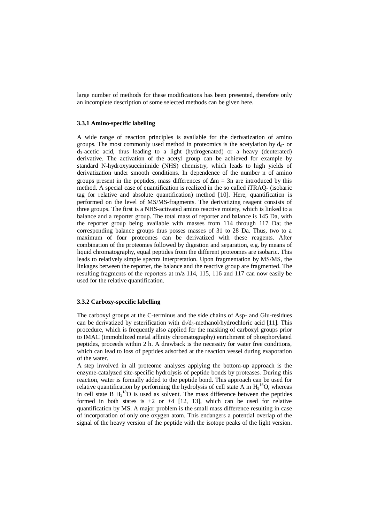large number of methods for these modifications has been presented, therefore only an incomplete description of some selected methods can be given here.

### **3.3.1 Amino-specific labelling**

A wide range of reaction principles is available for the derivatization of amino groups. The most commonly used method in proteomics is the acetylation by  $d_0$ - or  $d_3$ -acetic acid, thus leading to a light (hydrogenated) or a heavy (deuterated) derivative. The activation of the acetyl group can be achieved for example by standard N-hydroxysuccinimide (NHS) chemistry, which leads to high yields of derivatization under smooth conditions. In dependence of the number n of amino groups present in the peptides, mass differences of  $\Delta m = 3n$  are introduced by this method. A special case of quantification is realized in the so called iTRAQ- (isobaric tag for relative and absolute quantification) method [10]. Here, quantification is performed on the level of MS/MS-fragments. The derivatizing reagent consists of three groups. The first is a NHS-activated amino reactive moiety, which is linked to a balance and a reporter group. The total mass of reporter and balance is 145 Da, with the reporter group being available with masses from 114 through 117 Da; the corresponding balance groups thus posses masses of 31 to 28 Da. Thus, two to a maximum of four proteomes can be derivatized with these reagents. After combination of the proteomes followed by digestion and separation, e.g. by means of liquid chromatography, equal peptides from the different proteomes are isobaric. This leads to relatively simple spectra interpretation. Upon fragmentation by MS/MS, the linkages between the reporter, the balance and the reactive group are fragmented. The resulting fragments of the reporters at m/z 114, 115, 116 and 117 can now easily be used for the relative quantification.

#### **3.3.2 Carboxy-specific labelling**

The carboxyl groups at the C-terminus and the side chains of Asp- and Glu-residues can be derivatized by esterification with  $d_0/d_3$ -methanol/hydrochloric acid [11]. This procedure, which is frequently also applied for the masking of carboxyl groups prior to IMAC (immobilized metal affinity chromatography) enrichment of phosphorylated peptides, proceeds within 2 h. A drawback is the necessity for water free conditions, which can lead to loss of peptides adsorbed at the reaction vessel during evaporation of the water.

A step involved in all proteome analyses applying the bottom-up approach is the enzyme-catalyzed site-specific hydrolysis of peptide bonds by proteases. During this reaction, water is formally added to the peptide bond. This approach can be used for relative quantification by performing the hydrolysis of cell state A in  $H_2^{16}O$ , whereas in cell state B  $H_2$ <sup>18</sup>O is used as solvent. The mass difference between the peptides formed in both states is  $+2$  or  $+4$  [12, 13], which can be used for relative quantification by MS. A major problem is the small mass difference resulting in case of incorporation of only one oxygen atom. This endangers a potential overlap of the signal of the heavy version of the peptide with the isotope peaks of the light version.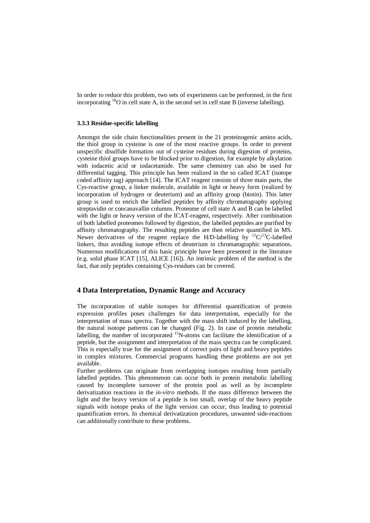In order to reduce this problem, two sets of experiments can be performed, in the first incorporating  $^{18}$ O in cell state A, in the second set in cell state B (inverse labelling).

### **3.3.3 Residue-specific labelling**

Amongst the side chain functionalities present in the 21 proteinogenic amino acids, the thiol group in cysteine is one of the most reactive groups. In order to prevent unspecific disulfide formation out of cysteine residues during digestion of proteins, cysteine thiol groups have to be blocked prior to digestion, for example by alkylation with iodacetic acid or iodacetamide. The same chemistry can also be used for differential tagging. This principle has been realized in the so called ICAT (isotope coded affinity tag) approach [14]. The ICAT reagent consists of three main parts, the Cys-reactive group, a linker molecule, available in light or heavy form (realized by incorporation of hydrogen or deuterium) and an affinity group (biotin). This latter group is used to enrich the labelled peptides by affinity chromatography applying streptavidin or concanavallin columns. Proteome of cell state A and B can be labelled with the light or heavy version of the ICAT-reagent, respectively. After combination of both labelled proteomes followed by digestion, the labelled peptides are purified by affinity chromatography. The resulting peptides are then relative quantified in MS. Newer derivatives of the reagent replace the H/D-labelling by  ${}^{12}C/{}^{13}C$ -labelled linkers, thus avoiding isotope effects of deuterium in chromatographic separations. Numerous modifications of this basic principle have been presented in the literature (e.g. solid phase ICAT [15], ALICE [16]). An intrinsic problem of the method is the fact, that only peptides containing Cys-residues can be covered.

### **4 Data Interpretation, Dynamic Range and Accuracy**

The incorporation of stable isotopes for differential quantification of protein expression profiles poses challenges for data interpretation, especially for the interpretation of mass spectra. Together with the mass shift induced by the labelling, the natural isotope patterns can be changed (Fig. 2). In case of protein metabolic labelling, the number of incorporated <sup>15</sup>N-atoms can facilitate the identification of a peptide, but the assignment and interpretation of the mass spectra can be complicated. This is especially true for the assignment of correct pairs of light and heavy peptides in complex mixtures. Commercial programs handling these problems are not yet available.

Further problems can originate from overlapping isotopes resulting from partially labelled peptides. This phenomenon can occur both in protein metabolic labelling caused by incomplete turnover of the protein pool as well as by incomplete derivatization reactions in the *in-vitro* methods. If the mass difference between the light and the heavy version of a peptide is too small, overlap of the heavy peptide signals with isotope peaks of the light version can occur, thus leading to potential quantification errors. In chemical derivatization procedures, unwanted side-reactions can additionally contribute to these problems.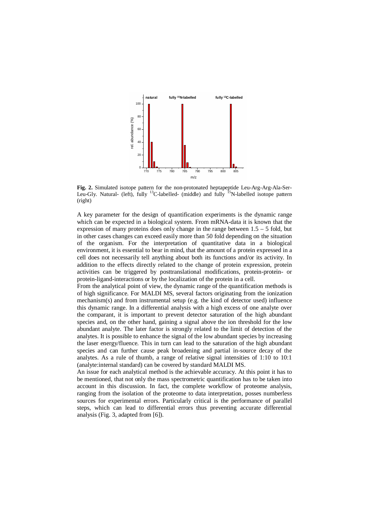

**Fig. 2.** Simulated isotope pattern for the non-protonated heptapeptide Leu-Arg-Arg-Ala-Ser-Leu-Gly. Natural- (left), fully <sup>13</sup>C-labelled- (middle) and fully <sup>15</sup>N-labelled isotope pattern (right)

A key parameter for the design of quantification experiments is the dynamic range which can be expected in a biological system. From mRNA-data it is known that the expression of many proteins does only change in the range between 1.5 – 5 fold, but in other cases changes can exceed easily more than 50 fold depending on the situation of the organism. For the interpretation of quantitative data in a biological environment, it is essential to bear in mind, that the amount of a protein expressed in a cell does not necessarily tell anything about both its functions and/or its activity. In addition to the effects directly related to the change of protein expression, protein activities can be triggered by posttranslational modifications, protein-protein- or protein-ligand-interactions or by the localization of the protein in a cell.

From the analytical point of view, the dynamic range of the quantification methods is of high significance. For MALDI MS, several factors originating from the ionization mechanism(s) and from instrumental setup (e.g. the kind of detector used) influence this dynamic range. In a differential analysis with a high excess of one analyte over the comparant, it is important to prevent detector saturation of the high abundant species and, on the other hand, gaining a signal above the ion threshold for the low abundant analyte. The later factor is strongly related to the limit of detection of the analytes. It is possible to enhance the signal of the low abundant species by increasing the laser energy/fluence. This in turn can lead to the saturation of the high abundant species and can further cause peak broadening and partial in-source decay of the analytes. As a rule of thumb, a range of relative signal intensities of 1:10 to 10:1 (analyte:internal standard) can be covered by standard MALDI MS.

An issue for each analytical method is the achievable accuracy. At this point it has to be mentioned, that not only the mass spectrometric quantification has to be taken into account in this discussion. In fact, the complete workflow of proteome analysis, ranging from the isolation of the proteome to data interpretation, posses numberless sources for experimental errors. Particularly critical is the performance of parallel steps, which can lead to differential errors thus preventing accurate differential analysis (Fig. 3, adapted from [6]).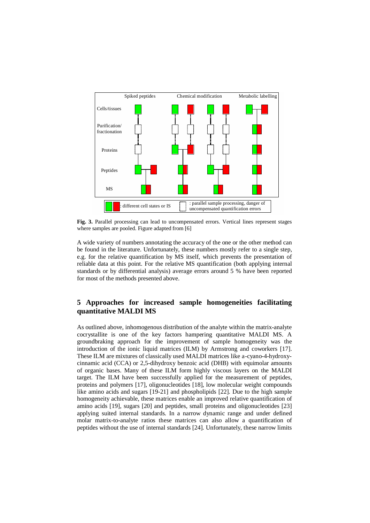

**Fig. 3.** Parallel processing can lead to uncompensated errors. Vertical lines represent stages where samples are pooled. Figure adapted from [6]

A wide variety of numbers annotating the accuracy of the one or the other method can be found in the literature. Unfortunately, these numbers mostly refer to a single step, e.g. for the relative quantification by MS itself, which prevents the presentation of reliable data at this point. For the relative MS quantification (both applying internal standards or by differential analysis) average errors around 5 % have been reported for most of the methods presented above.

# **5 Approaches for increased sample homogeneities facilitating quantitative MALDI MS**

As outlined above, inhomogenous distribution of the analyte within the matrix-analyte cocrystallite is one of the key factors hampering quantitative MALDI MS. A groundbraking approach for the improvement of sample homogeneity was the introduction of the ionic liquid matrices (ILM) by Armstrong and coworkers [17]. These ILM are mixtures of classically used MALDI matrices like a-cyano-4-hydroxycinnamic acid (CCA) or 2,5-dihydroxy benzoic acid (DHB) with equimolar amounts of organic bases. Many of these ILM form highly viscous layers on the MALDI target. The ILM have been successfully applied for the measurement of peptides, proteins and polymers [17], oligonucleotides [18], low molecular weight compounds like amino acids and sugars [19-21] and phospholipids [22]. Due to the high sample homogeneity achievable, these matrices enable an improved relative quantification of amino acids [19], sugars [20] and peptides, small proteins and oligonucleotides [23] applying suited internal standards. In a narrow dynamic range and under defined molar matrix-to-analyte ratios these matrices can also allow a quantification of peptides without the use of internal standards [24]. Unfortunately, these narrow limits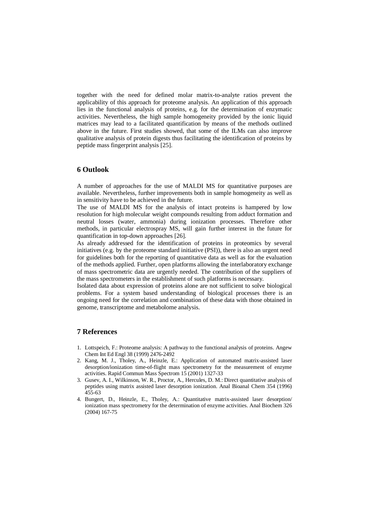together with the need for defined molar matrix-to-analyte ratios prevent the applicability of this approach for proteome analysis. An application of this approach lies in the functional analysis of proteins, e.g. for the determination of enzymatic activities. Nevertheless, the high sample homogeneity provided by the ionic liquid matrices may lead to a facilitated quantification by means of the methods outlined above in the future. First studies showed, that some of the ILMs can also improve qualitative analysis of protein digests thus facilitating the identification of proteins by peptide mass fingerprint analysis [25].

## **6 Outlook**

A number of approaches for the use of MALDI MS for quantitative purposes are available. Nevertheless, further improvements both in sample homogeneity as well as in sensitivity have to be achieved in the future.

The use of MALDI MS for the analysis of intact proteins is hampered by low resolution for high molecular weight compounds resulting from adduct formation and neutral losses (water, ammonia) during ionization processes. Therefore other methods, in particular electrospray MS, will gain further interest in the future for quantification in top-down approaches [26].

As already addressed for the identification of proteins in proteomics by several initiatives (e.g. by the proteome standard initiative (PSI)), there is also an urgent need for guidelines both for the reporting of quantitative data as well as for the evaluation of the methods applied. Further, open platforms allowing the interlaboratory exchange of mass spectrometric data are urgently needed. The contribution of the suppliers of the mass spectrometers in the establishment of such platforms is necessary.

Isolated data about expression of proteins alone are not sufficient to solve biological problems. For a system based understanding of biological processes there is an ongoing need for the correlation and combination of these data with those obtained in genome, transcriptome and metabolome analysis.

## **7 References**

- 1. Lottspeich, F.: Proteome analysis: A pathway to the functional analysis of proteins. Angew Chem Int Ed Engl 38 (1999) 2476-2492
- 2. Kang, M. J., Tholey, A., Heinzle, E.: Application of automated matrix-assisted laser desorption/ionization time-of-flight mass spectrometry for the measurement of enzyme activities. Rapid Commun Mass Spectrom 15 (2001) 1327-33
- 3. Gusev, A. I., Wilkinson, W. R., Proctor, A., Hercules, D. M.: Direct quantitative analysis of peptides using matrix assisted laser desorption ionization. Anal Bioanal Chem 354 (1996) 455-63
- 4. Bungert, D., Heinzle, E., Tholey, A.: Quantitative matrix-assisted laser desorption/ ionization mass spectrometry for the determination of enzyme activities. Anal Biochem 326 (2004) 167-75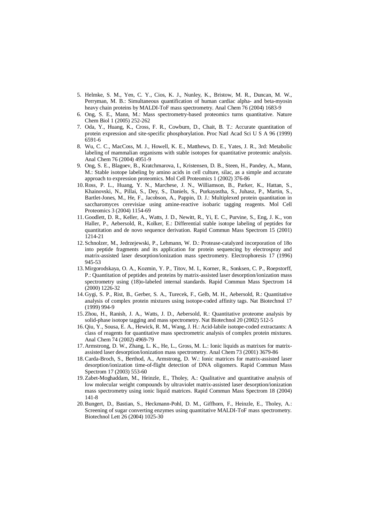- 5. Helmke, S. M., Yen, C. Y., Cios, K. J., Nunley, K., Bristow, M. R., Duncan, M. W., Perryman, M. B.: Simultaneous quantification of human cardiac alpha- and beta-myosin heavy chain proteins by MALDI-ToF mass spectrometry. Anal Chem 76 (2004) 1683-9
- 6. Ong, S. E., Mann, M.: Mass spectrometry-based proteomics turns quantitative. Nature Chem Biol 1 (2005) 252-262
- 7. Oda, Y., Huang, K., Cross, F. R., Cowburn, D., Chait, B. T.: Accurate quantitation of protein expression and site-specific phosphorylation. Proc Natl Acad Sci U S A 96 (1999) 6591-6
- 8. Wu, C. C., MacCoss, M. J., Howell, K. E., Matthews, D. E., Yates, J. R., 3rd: Metabolic labeling of mammalian organisms with stable isotopes for quantitative proteomic analysis. Anal Chem 76 (2004) 4951-9
- 9. Ong, S. E., Blagoev, B., Kratchmarova, I., Kristensen, D. B., Steen, H., Pandey, A., Mann, M.: Stable isotope labeling by amino acids in cell culture, silac, as a simple and accurate approach to expression proteomics. Mol Cell Proteomics 1 (2002) 376-86
- 10.Ross, P. L., Huang, Y. N., Marchese, J. N., Williamson, B., Parker, K., Hattan, S., Khainovski, N., Pillai, S., Dey, S., Daniels, S., Purkayastha, S., Juhasz, P., Martin, S., Bartlet-Jones, M., He, F., Jacobson, A., Pappin, D. J.: Multiplexed protein quantitation in saccharomyces cerevisiae using amine-reactive isobaric tagging reagents. Mol Cell Proteomics 3 (2004) 1154-69
- 11. Goodlett, D. R., Keller, A., Watts, J. D., Newitt, R., Yi, E. C., Purvine, S., Eng, J. K., von Haller, P., Aebersold, R., Kolker, E.: Differential stable isotope labeling of peptides for quantitation and de novo sequence derivation. Rapid Commun Mass Spectrom 15 (2001) 1214-21
- 12. Schnolzer, M., Jedrzejewski, P., Lehmann, W. D.: Protease-catalyzed incorporation of 18o into peptide fragments and its application for protein sequencing by electrospray and matrix-assisted laser desorption/ionization mass spectrometry. Electrophoresis 17 (1996) 945-53
- 13.Mirgorodskaya, O. A., Kozmin, Y. P., Titov, M. I., Korner, R., Sonksen, C. P., Roepstorff, P.: Quantitation of peptides and proteins by matrix-assisted laser desorption/ionization mass spectrometry using (18)o-labeled internal standards. Rapid Commun Mass Spectrom 14 (2000) 1226-32
- 14. Gygi, S. P., Rist, B., Gerber, S. A., Turecek, F., Gelb, M. H., Aebersold, R.: Quantitative analysis of complex protein mixtures using isotope-coded affinity tags. Nat Biotechnol 17 (1999) 994-9
- 15.Zhou, H., Ranish, J. A., Watts, J. D., Aebersold, R.: Quantitative proteome analysis by solid-phase isotope tagging and mass spectrometry. Nat Biotechnol 20 (2002) 512-5
- 16. Qiu, Y., Sousa, E. A., Hewick, R. M., Wang, J. H.: Acid-labile isotope-coded extractants: A class of reagents for quantitative mass spectrometric analysis of complex protein mixtures. Anal Chem 74 (2002) 4969-79
- 17. Armstrong, D. W., Zhang, L. K., He, L., Gross, M. L.: Ionic liquids as matrixes for matrixassisted laser desorption/ionization mass spectrometry. Anal Chem 73 (2001) 3679-86
- 18.Carda-Broch, S., Berthod, A., Armstrong, D. W.: Ionic matrices for matrix-assisted laser desorption/ionization time-of-flight detection of DNA oligomers. Rapid Commun Mass Spectrom 17 (2003) 553-60
- 19.Zabet-Moghaddam, M., Heinzle, E., Tholey, A.: Qualitative and quantitative analysis of low molecular weight compounds by ultraviolet matrix-assisted laser desorption/ionization mass spectrometry using ionic liquid matrices. Rapid Commun Mass Spectrom 18 (2004) 141-8
- 20.Bungert, D., Bastian, S., Heckmann-Pohl, D. M., Giffhorn, F., Heinzle, E., Tholey, A.: Screening of sugar converting enzymes using quantitative MALDI-ToF mass spectrometry. Biotechnol Lett 26 (2004) 1025-30